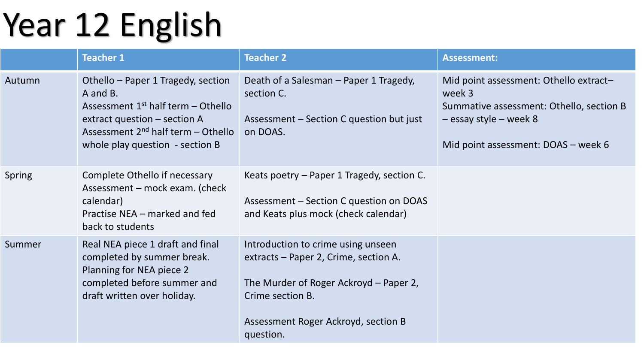## Year 12 English

|        | <b>Teacher 1</b>                                                                                                                                                                                     | <b>Teacher 2</b>                                                                                                                                                                              | <b>Assessment:</b>                                                                                                                                              |
|--------|------------------------------------------------------------------------------------------------------------------------------------------------------------------------------------------------------|-----------------------------------------------------------------------------------------------------------------------------------------------------------------------------------------------|-----------------------------------------------------------------------------------------------------------------------------------------------------------------|
| Autumn | Othello - Paper 1 Tragedy, section<br>A and B.<br>Assessment $1st$ half term – Othello<br>extract question – section A<br>Assessment $2^{nd}$ half term – Othello<br>whole play question - section B | Death of a Salesman - Paper 1 Tragedy,<br>section C.<br>Assessment – Section C question but just<br>on DOAS.                                                                                  | Mid point assessment: Othello extract-<br>week 3<br>Summative assessment: Othello, section B<br>$-$ essay style – week 8<br>Mid point assessment: DOAS - week 6 |
| Spring | Complete Othello if necessary<br>Assessment – mock exam. (check<br>calendar)<br>Practise NEA – marked and fed<br>back to students                                                                    | Keats poetry - Paper 1 Tragedy, section C.<br>Assessment – Section C question on DOAS<br>and Keats plus mock (check calendar)                                                                 |                                                                                                                                                                 |
| Summer | Real NEA piece 1 draft and final<br>completed by summer break.<br>Planning for NEA piece 2<br>completed before summer and<br>draft written over holiday.                                             | Introduction to crime using unseen<br>extracts – Paper 2, Crime, section A.<br>The Murder of Roger Ackroyd – Paper 2,<br>Crime section B.<br>Assessment Roger Ackroyd, section B<br>question. |                                                                                                                                                                 |